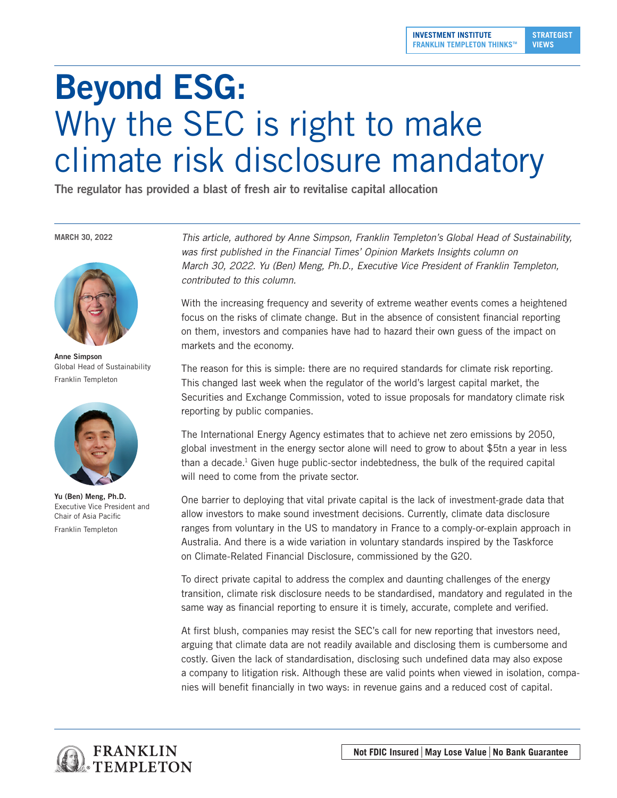## Beyond ESG: Why the SEC is right to make climate risk disclosure mandatory

The regulator has provided a blast of fresh air to revitalise capital allocation

**MARCH 30, 2022**



Anne Simpson Global Head of Sustainability Franklin Templeton



Yu (Ben) Meng, Ph.D. Executive Vice President and Chair of Asia Pacific Franklin Templeton

*This article, authored by Anne Simpson, Franklin Templeton's Global Head of Sustainability,*  was first published in the Financial Times' Opinion Markets Insights column on *March 30, 2022. Yu (Ben) Meng, Ph.D., Executive Vice President of Franklin Templeton, contributed to this column.* 

With the increasing frequency and severity of extreme weather events comes a heightened focus on the risks of climate change. But in the absence of consistent financial reporting on them, investors and companies have had to hazard their own guess of the impact on markets and the economy.

The reason for this is simple: there are no required standards for climate risk reporting. This changed last week when the regulator of the world's largest capital market, the Securities and Exchange Commission, voted to issue proposals for mandatory climate risk reporting by public companies.

The International Energy Agency estimates that to achieve net zero emissions by 2050, global investment in the energy sector alone will need to grow to about \$5tn a year in less than a decade.1 Given huge public-sector indebtedness, the bulk of the required capital will need to come from the private sector.

One barrier to deploying that vital private capital is the lack of investment-grade data that allow investors to make sound investment decisions. Currently, climate data disclosure ranges from voluntary in the US to mandatory in France to a comply-or-explain approach in Australia. And there is a wide variation in voluntary standards inspired by the Taskforce on Climate-Related Financial Disclosure, commissioned by the G20.

To direct private capital to address the complex and daunting challenges of the energy transition, climate risk disclosure needs to be standardised, mandatory and regulated in the same way as financial reporting to ensure it is timely, accurate, complete and verified.

At first blush, companies may resist the SEC's call for new reporting that investors need, arguing that climate data are not readily available and disclosing them is cumbersome and costly. Given the lack of standardisation, disclosing such undefined data may also expose a company to litigation risk. Although these are valid points when viewed in isolation, companies will benefit financially in two ways: in revenue gains and a reduced cost of capital.

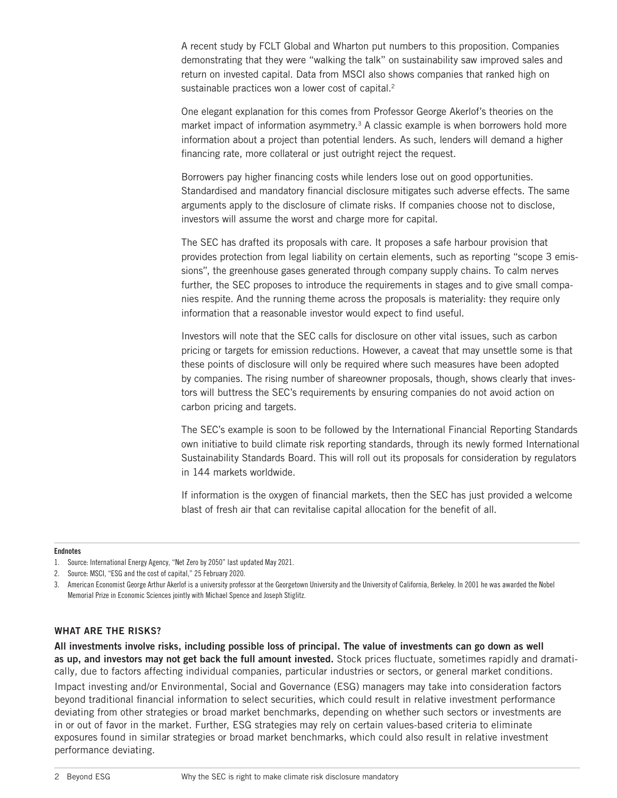A recent study by FCLT Global and Wharton put numbers to this proposition. Companies demonstrating that they were "walking the talk" on sustainability saw improved sales and return on invested capital. Data from MSCI also shows companies that ranked high on sustainable practices won a lower cost of capital.<sup>2</sup>

One elegant explanation for this comes from Professor George Akerlof's theories on the market impact of information asymmetry.<sup>3</sup> A classic example is when borrowers hold more information about a project than potential lenders. As such, lenders will demand a higher financing rate, more collateral or just outright reject the request.

Borrowers pay higher financing costs while lenders lose out on good opportunities. Standardised and mandatory financial disclosure mitigates such adverse effects. The same arguments apply to the disclosure of climate risks. If companies choose not to disclose, investors will assume the worst and charge more for capital.

The SEC has drafted its proposals with care. It proposes a safe harbour provision that provides protection from legal liability on certain elements, such as reporting "scope 3 emissions", the greenhouse gases generated through company supply chains. To calm nerves further, the SEC proposes to introduce the requirements in stages and to give small companies respite. And the running theme across the proposals is materiality: they require only information that a reasonable investor would expect to find useful.

Investors will note that the SEC calls for disclosure on other vital issues, such as carbon pricing or targets for emission reductions. However, a caveat that may unsettle some is that these points of disclosure will only be required where such measures have been adopted by companies. The rising number of shareowner proposals, though, shows clearly that investors will buttress the SEC's requirements by ensuring companies do not avoid action on carbon pricing and targets.

The SEC's example is soon to be followed by the International Financial Reporting Standards own initiative to build climate risk reporting standards, through its newly formed International Sustainability Standards Board. This will roll out its proposals for consideration by regulators in 144 markets worldwide.

If information is the oxygen of financial markets, then the SEC has just provided a welcome blast of fresh air that can revitalise capital allocation for the benefit of all.

## Endnotes

## WHAT ARE THE RISKS?

All investments involve risks, including possible loss of principal. The value of investments can go down as well as up, and investors may not get back the full amount invested. Stock prices fluctuate, sometimes rapidly and dramatically, due to factors affecting individual companies, particular industries or sectors, or general market conditions.

Impact investing and/or Environmental, Social and Governance (ESG) managers may take into consideration factors beyond traditional financial information to select securities, which could result in relative investment performance deviating from other strategies or broad market benchmarks, depending on whether such sectors or investments are in or out of favor in the market. Further, ESG strategies may rely on certain values-based criteria to eliminate exposures found in similar strategies or broad market benchmarks, which could also result in relative investment performance deviating.

<sup>1.</sup> Source: International Energy Agency, "Net Zero by 2050" last updated May 2021.

<sup>2.</sup> Source: MSCI, "ESG and the cost of capital," 25 February 2020.

<sup>3.</sup> American Economist George Arthur Akerlof is a university professor at the Georgetown University and the University of California, Berkeley. In 2001 he was awarded the Nobel Memorial Prize in Economic Sciences jointly with Michael Spence and Joseph Stiglitz.